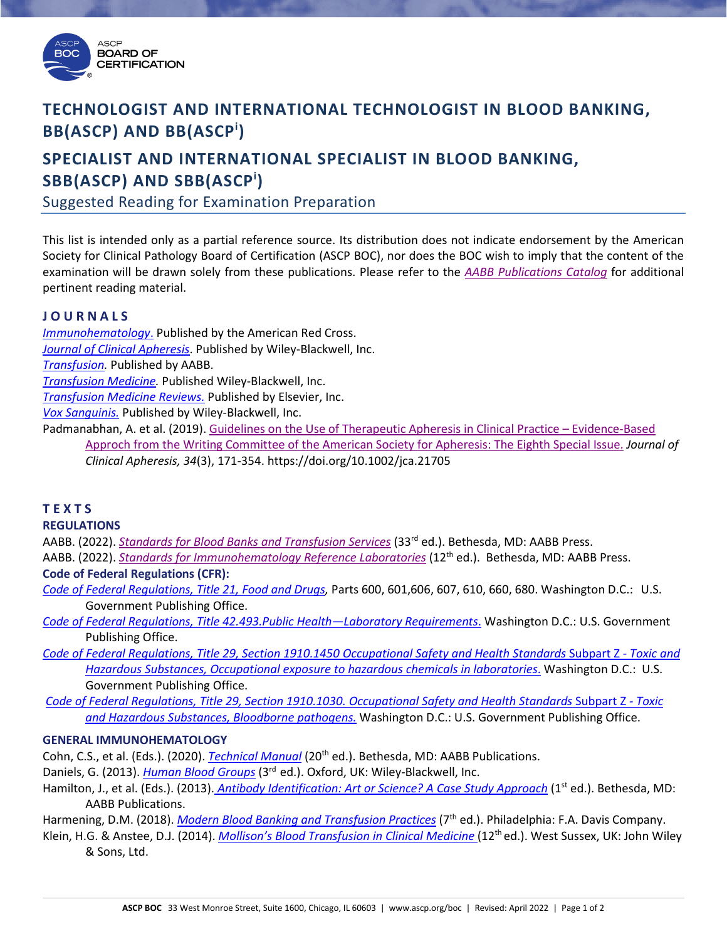

## **TECHNOLOGIST AND INTERNATIONAL TECHNOLOGIST IN BLOOD BANKING, BB(ASCP) AND BB(ASCPi )**

### **SPECIALIST AND INTERNATIONAL SPECIALIST IN BLOOD BANKING, SBB(ASCP) AND SBB(ASCPi )**

Suggested Reading for Examination Preparation

This list is intended only as a partial reference source. Its distribution does not indicate endorsement by the American Society for Clinical Pathology Board of Certification (ASCP BOC), nor does the BOC wish to imply that the content of the examination will be drawn solely from these publications. Please refer to the *[AABB Publications Catalog](https://www.aabb.org/aabb-store/resources/aabb-publications-catalog)* for additional pertinent reading material.

#### **J O U R N A L S**

*[Immunohematology](https://www.redcrossblood.org/biomedical-services/educational-resources/immunohematology.html)*. Published by the American Red Cross. *[Journal of Clinical Apheresis](http://onlinelibrary.wiley.com/journal/10.1002/(ISSN)1098-1101)*. Published by Wiley-Blackwell, Inc. *[Transfusion.](http://www.transfusion.org/)* Published by AABB. *[Transfusion Medicine.](http://onlinelibrary.wiley.com/journal/10.1111/(ISSN)1365-3148)* Published Wiley-Blackwell, Inc.

*[Transfusion Medicine Reviews.](http://www.journals.elsevier.com/transfusion-medicine-reviews/)* Published by Elsevier, Inc.

*[Vox Sanguinis.](http://onlinelibrary.wiley.com/journal/10.1111/(ISSN)1423-0410)* Published by Wiley-Blackwell, Inc.

Padmanabhan, A. et al. (2019). [Guidelines on the Use of Therapeutic Apheresis in Clinical Practice –](https://onlinelibrary.wiley.com/doi/10.1002/jca.21705) Evidence-Based [Approch from the Writing Committee of the American Society for Apheresis: The Eighth Special Issue.](https://onlinelibrary.wiley.com/doi/10.1002/jca.21705) *Journal of Clinical Apheresis, 34*(3), 171-354. https://doi.org/10.1002/jca.21705

### **T E X T S**

**REGULATIONS**

AABB. (2022). *[Standards for Blood Banks and](https://www.aabb.org/standards-accreditation/standards/blood-banks-and-transfusion-services) Transfusion Services* (33rd ed.). Bethesda, MD: AABB Press.

- AABB. (2022). *[Standards for Immunohematology Reference Laboratories](https://www.aabb.org/aabb-store/product/standards-for-immunohematology-reference-laboratories-12th-edition-print-15991468)* (12th ed.). Bethesda, MD: AABB Press. **Code of Federal Regulations (CFR):**
- *[Code of Federal Regulations, Title 21, Food and Drugs,](http://www.ecfr.gov/cgi-bin/text-idx?SID=47fe76bf370c630c25967a7d39a1c548&mc=true&tpl=/ecfrbrowse/Title21/21cfrv7_02.tpl#0)* Parts 600, 601,606, 607, 610, 660, 680. Washington D.C.: U.S. Government Publishing Office.

*[Code of Federal Regulations, Title 42.493.Public Health—Laboratory Requirements](https://www.ecfr.gov/cgi-bin/text-idx?SID=a81786678fa1874ce3787b2840ba8f79&mc=true&node=pt42.5.493&rgn=div5)*. Washington D.C.: U.S. Government Publishing Office.

*[Code of Federal Regulations, Title 29, Section 1910.1450](https://www.ecfr.gov/cgi-bin/text-idx?SID=a095fe059f93cd6b6eeaaa882ee804d0&mc=true&node=se29.6.1910_11450&rgn=div8) Occupational Safety and Health Standards* Subpart Z *- Toxic and [Hazardous Substances, Occupational exposure to hazardous chemicals in laboratories](https://www.ecfr.gov/cgi-bin/text-idx?SID=a095fe059f93cd6b6eeaaa882ee804d0&mc=true&node=se29.6.1910_11450&rgn=div8)*. Washington D.C.: U.S. Government Publishing Office.

*[Code of Federal Regulations, Title 29, Section 1910.1030.](https://www.ecfr.gov/cgi-bin/text-idx?SID=a095fe059f93cd6b6eeaaa882ee804d0&mc=true&node=se29.6.1910_11030&rgn=div8) Occupational Safety and Health Standards* Subpart Z *- Toxic [and Hazardous Substances, Bloodborne pathogens.](https://www.ecfr.gov/cgi-bin/text-idx?SID=a095fe059f93cd6b6eeaaa882ee804d0&mc=true&node=se29.6.1910_11030&rgn=div8)* Washington D.C.: U.S. Government Publishing Office.

#### **GENERAL IMMUNOHEMATOLOGY**

Cohn, C.S., et al. (Eds.). (2020). *[Technical Manual](https://marketplace.aabb.org/ebusiness/Marketplace/Technical-Manual-20th-edition---Print/ProductDetail/14885311)* (20<sup>th</sup> ed.). Bethesda, MD: AABB Publications.

Daniels, G. (2013). *[Human Blood Groups](http://www.amazon.com/Human-Blood-Groups-Geoff-Daniels/dp/1444333240/ref=dp_ob_title_bk?ie=UTF8&qid=1230944235&sr=8-1#_)* (3rd ed.). Oxford, UK: Wiley-Blackwell, Inc.

Hamilton, J., et al. (Eds.). (2013). *[Antibody Identification: Art or Science? A Case Study Approach](https://marketplace.aabb.org/ebusiness/Marketplace/Antibody-Identification-Art-or-Science-A-Case-Study-Approach/ProductDetail/2285)* (1<sup>st</sup> ed.). Bethesda, MD: AABB Publications.

Harmening, D.M. (2018). *[Modern Blood Banking and Transfusion Practices](https://www.amazon.com/Modern-Blood-Banking-Transfusion-Practices/dp/0803668880/ref=dp_ob_title_bk)* (7th ed.). Philadelphia: F.A. Davis Company.

Klein, H.G. & Anstee, D.J. (2014). *Mollison's Blood Transfusion in Clinical Medicine* (12<sup>th</sup> ed.). West Sussex, UK: John Wiley & Sons, Ltd.